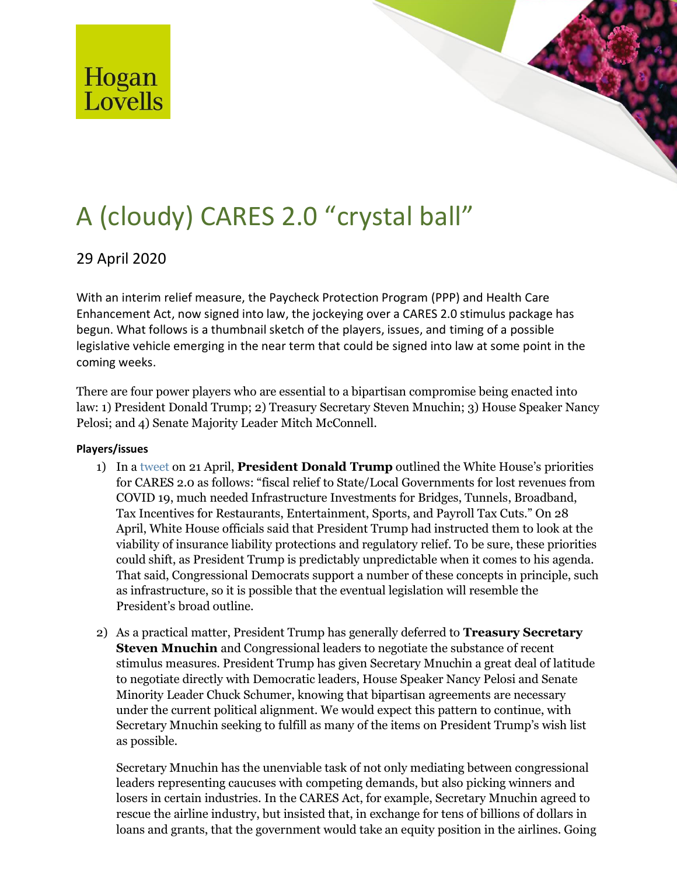

# A (cloudy) CARES 2.0 "crystal ball"

## 29 April 2020

With an interim relief measure, the Paycheck Protection Program (PPP) and Health Care Enhancement Act, now signed into law, the jockeying over a CARES 2.0 stimulus package has begun. What follows is a thumbnail sketch of the players, issues, and timing of a possible legislative vehicle emerging in the near term that could be signed into law at some point in the coming weeks.

There are four power players who are essential to a bipartisan compromise being enacted into law: 1) President Donald Trump; 2) Treasury Secretary Steven Mnuchin; 3) House Speaker Nancy Pelosi; and 4) Senate Majority Leader Mitch McConnell.

### **Players/issues**

- 1) In [a tweet o](https://twitter.com/realDonaldTrump/status/1252640539574448128)n 21 April, **President Donald Trump** outlined the White House's priorities for CARES 2.0 as follows: "fiscal relief to State/Local Governments for lost revenues from COVID 19, much needed Infrastructure Investments for Bridges, Tunnels, Broadband, Tax Incentives for Restaurants, Entertainment, Sports, and Payroll Tax Cuts." On 28 April, White House officials said that President Trump had instructed them to look at the viability of insurance liability protections and regulatory relief. To be sure, these priorities could shift, as President Trump is predictably unpredictable when it comes to his agenda. That said, Congressional Democrats support a number of these concepts in principle, such as infrastructure, so it is possible that the eventual legislation will resemble the President's broad outline.
- 2) As a practical matter, President Trump has generally deferred to **Treasury Secretary Steven Mnuchin** and Congressional leaders to negotiate the substance of recent stimulus measures. President Trump has given Secretary Mnuchin a great deal of latitude to negotiate directly with Democratic leaders, House Speaker Nancy Pelosi and Senate Minority Leader Chuck Schumer, knowing that bipartisan agreements are necessary under the current political alignment. We would expect this pattern to continue, with Secretary Mnuchin seeking to fulfill as many of the items on President Trump's wish list as possible.

Secretary Mnuchin has the unenviable task of not only mediating between congressional leaders representing caucuses with competing demands, but also picking winners and losers in certain industries. In the CARES Act, for example, Secretary Mnuchin agreed to rescue the airline industry, but insisted that, in exchange for tens of billions of dollars in loans and grants, that the government would take an equity position in the airlines. Going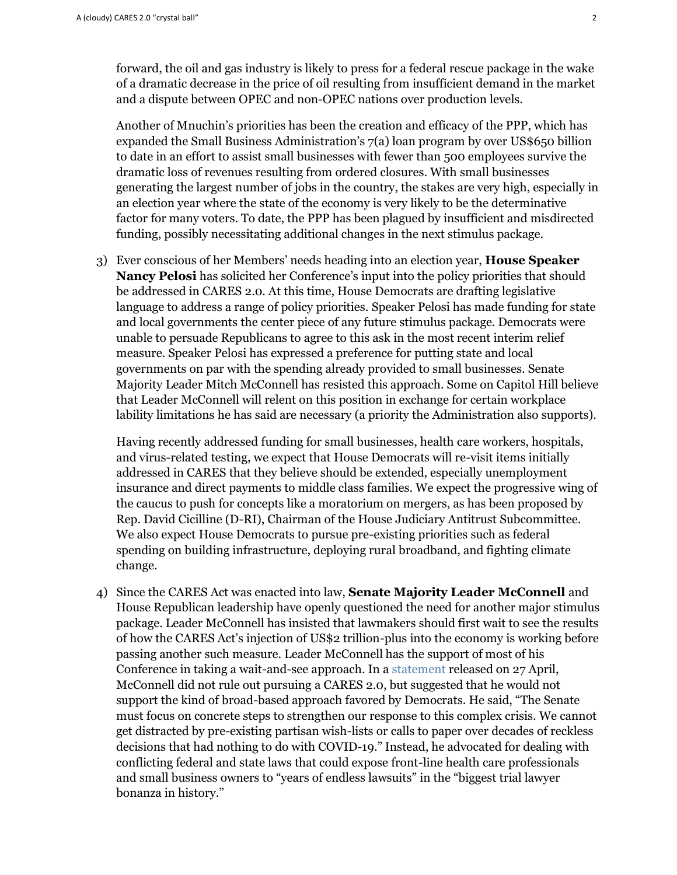forward, the oil and gas industry is likely to press for a federal rescue package in the wake of a dramatic decrease in the price of oil resulting from insufficient demand in the market and a dispute between OPEC and non-OPEC nations over production levels.

Another of Mnuchin's priorities has been the creation and efficacy of the PPP, which has expanded the Small Business Administration's 7(a) loan program by over US\$650 billion to date in an effort to assist small businesses with fewer than 500 employees survive the dramatic loss of revenues resulting from ordered closures. With small businesses generating the largest number of jobs in the country, the stakes are very high, especially in an election year where the state of the economy is very likely to be the determinative factor for many voters. To date, the PPP has been plagued by insufficient and misdirected funding, possibly necessitating additional changes in the next stimulus package.

3) Ever conscious of her Members' needs heading into an election year, **House Speaker Nancy Pelosi** has solicited her Conference's input into the policy priorities that should be addressed in CARES 2.0. At this time, House Democrats are drafting legislative language to address a range of policy priorities. Speaker Pelosi has made funding for state and local governments the center piece of any future stimulus package. Democrats were unable to persuade Republicans to agree to this ask in the most recent interim relief measure. Speaker Pelosi has expressed a preference for putting state and local governments on par with the spending already provided to small businesses. Senate Majority Leader Mitch McConnell has resisted this approach. Some on Capitol Hill believe that Leader McConnell will relent on this position in exchange for certain workplace lability limitations he has said are necessary (a priority the Administration also supports).

Having recently addressed funding for small businesses, health care workers, hospitals, and virus-related testing, we expect that House Democrats will re-visit items initially addressed in CARES that they believe should be extended, especially unemployment insurance and direct payments to middle class families. We expect the progressive wing of the caucus to push for concepts like a moratorium on mergers, as has been proposed by Rep. David Cicilline (D-RI), Chairman of the House Judiciary Antitrust Subcommittee. We also expect House Democrats to pursue pre-existing priorities such as federal spending on building infrastructure, deploying rural broadband, and fighting climate change.

4) Since the CARES Act was enacted into law, **Senate Majority Leader McConnell** and House Republican leadership have openly questioned the need for another major stimulus package. Leader McConnell has insisted that lawmakers should first wait to see the results of how the CARES Act's injection of US\$2 trillion-plus into the economy is working before passing another such measure. Leader McConnell has the support of most of his Conference in taking a wait-and-see approach. In a [statement r](https://bit.ly/359ceO5)eleased on 27 April, McConnell did not rule out pursuing a CARES 2.0, but suggested that he would not support the kind of broad-based approach favored by Democrats. He said, "The Senate must focus on concrete steps to strengthen our response to this complex crisis. We cannot get distracted by pre-existing partisan wish-lists or calls to paper over decades of reckless decisions that had nothing to do with COVID-19." Instead, he advocated for dealing with conflicting federal and state laws that could expose front-line health care professionals and small business owners to "years of endless lawsuits" in the "biggest trial lawyer bonanza in history."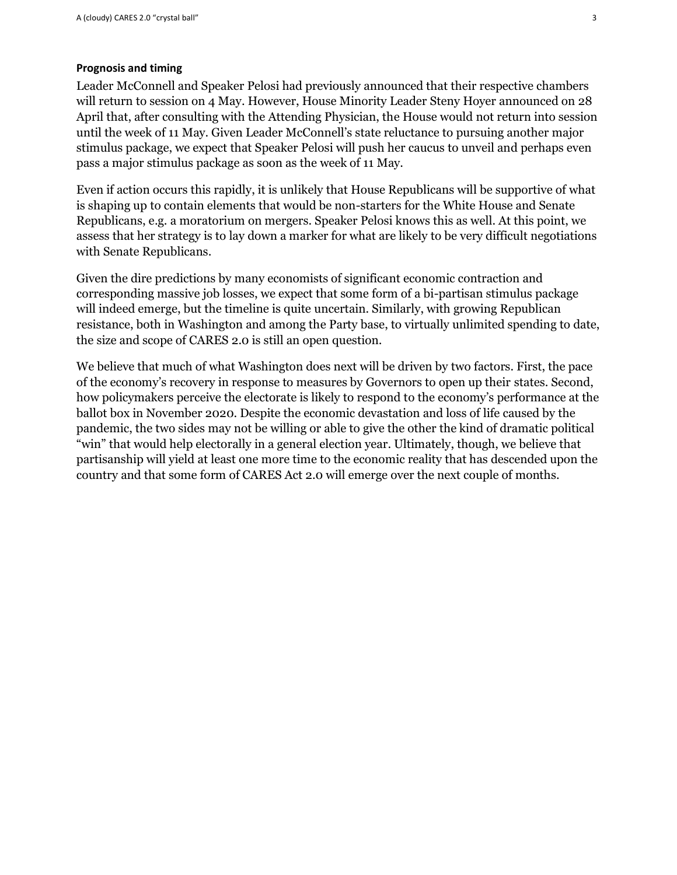#### **Prognosis and timing**

Leader McConnell and Speaker Pelosi had previously announced that their respective chambers will return to session on 4 May. However, House Minority Leader Steny Hoyer announced on 28 April that, after consulting with the Attending Physician, the House would not return into session until the week of 11 May. Given Leader McConnell's state reluctance to pursuing another major stimulus package, we expect that Speaker Pelosi will push her caucus to unveil and perhaps even pass a major stimulus package as soon as the week of 11 May.

Even if action occurs this rapidly, it is unlikely that House Republicans will be supportive of what is shaping up to contain elements that would be non-starters for the White House and Senate Republicans, e.g. a moratorium on mergers. Speaker Pelosi knows this as well. At this point, we assess that her strategy is to lay down a marker for what are likely to be very difficult negotiations with Senate Republicans.

Given the dire predictions by many economists of significant economic contraction and corresponding massive job losses, we expect that some form of a bi-partisan stimulus package will indeed emerge, but the timeline is quite uncertain. Similarly, with growing Republican resistance, both in Washington and among the Party base, to virtually unlimited spending to date, the size and scope of CARES 2.0 is still an open question.

We believe that much of what Washington does next will be driven by two factors. First, the pace of the economy's recovery in response to measures by Governors to open up their states. Second, how policymakers perceive the electorate is likely to respond to the economy's performance at the ballot box in November 2020. Despite the economic devastation and loss of life caused by the pandemic, the two sides may not be willing or able to give the other the kind of dramatic political "win" that would help electorally in a general election year. Ultimately, though, we believe that partisanship will yield at least one more time to the economic reality that has descended upon the country and that some form of CARES Act 2.0 will emerge over the next couple of months.